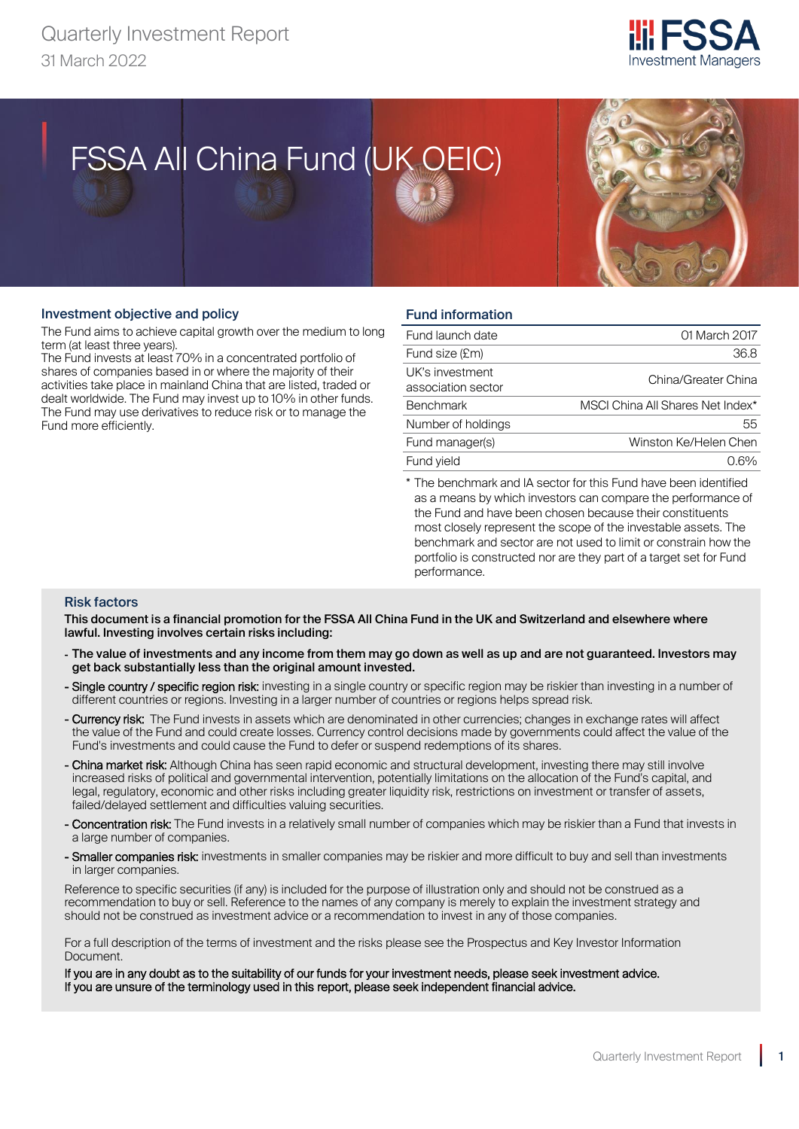

# FSSA All China Fund (UK OEIC) FSSA All China Fund (UK OEIC)



### Investment objective and policy

Quarterly Investment Report

The Fund aims to achieve capital growth over the medium to long term (at least three years).

The Fund invests at least 70% in a concentrated portfolio of shares of companies based in or where the majority of their activities take place in mainland China that are listed, traded or dealt worldwide. The Fund may invest up to 10% in other funds. The Fund may use derivatives to reduce risk or to manage the Fund more efficiently.

# Fund information

| Fund launch date                      | 01 March 2017                    |
|---------------------------------------|----------------------------------|
| Fund size (£m)                        | 36.8                             |
| UK's investment<br>association sector | China/Greater China              |
| <b>Benchmark</b>                      | MSCI China All Shares Net Index* |
| Number of holdings                    | 55                               |
| Fund manager(s)                       | Winston Ke/Helen Chen            |
| Fund vield                            |                                  |

\* The benchmark and IA sector for this Fund have been identified as a means by which investors can compare the performance of the Fund and have been chosen because their constituents most closely represent the scope of the investable assets. The benchmark and sector are not used to limit or constrain how the portfolio is constructed nor are they part of a target set for Fund performance.

#### Risk factors

This document is a financial promotion for the FSSA All China Fund in the UK and Switzerland and elsewhere where lawful. Investing involves certain risks including:

- The value of investments and any income from them may go down as well as up and are not guaranteed. Investors may get back substantially less than the original amount invested.
- Single country / specific region risk: investing in a single country or specific region may be riskier than investing in a number of different countries or regions. Investing in a larger number of countries or regions helps spread risk.
- Currency risk: The Fund invests in assets which are denominated in other currencies; changes in exchange rates will affect the value of the Fund and could create losses. Currency control decisions made by governments could affect the value of the Fund's investments and could cause the Fund to defer or suspend redemptions of its shares.
- China market risk: Although China has seen rapid economic and structural development, investing there may still involve increased risks of political and governmental intervention, potentially limitations on the allocation of the Fund's capital, and legal, regulatory, economic and other risks including greater liquidity risk, restrictions on investment or transfer of assets, failed/delayed settlement and difficulties valuing securities.
- Concentration risk: The Fund invests in a relatively small number of companies which may be riskier than a Fund that invests in a large number of companies.
- Smaller companies risk: investments in smaller companies may be riskier and more difficult to buy and sell than investments in larger companies.

Reference to specific securities (if any) is included for the purpose of illustration only and should not be construed as a recommendation to buy or sell. Reference to the names of any company is merely to explain the investment strategy and should not be construed as investment advice or a recommendation to invest in any of those companies.

For a full description of the terms of investment and the risks please see the Prospectus and Key Investor Information Document.

If you are in any doubt as to the suitability of our funds for your investment needs, please seek investment advice. If you are unsure of the terminology used in this report, please seek independent financial advice.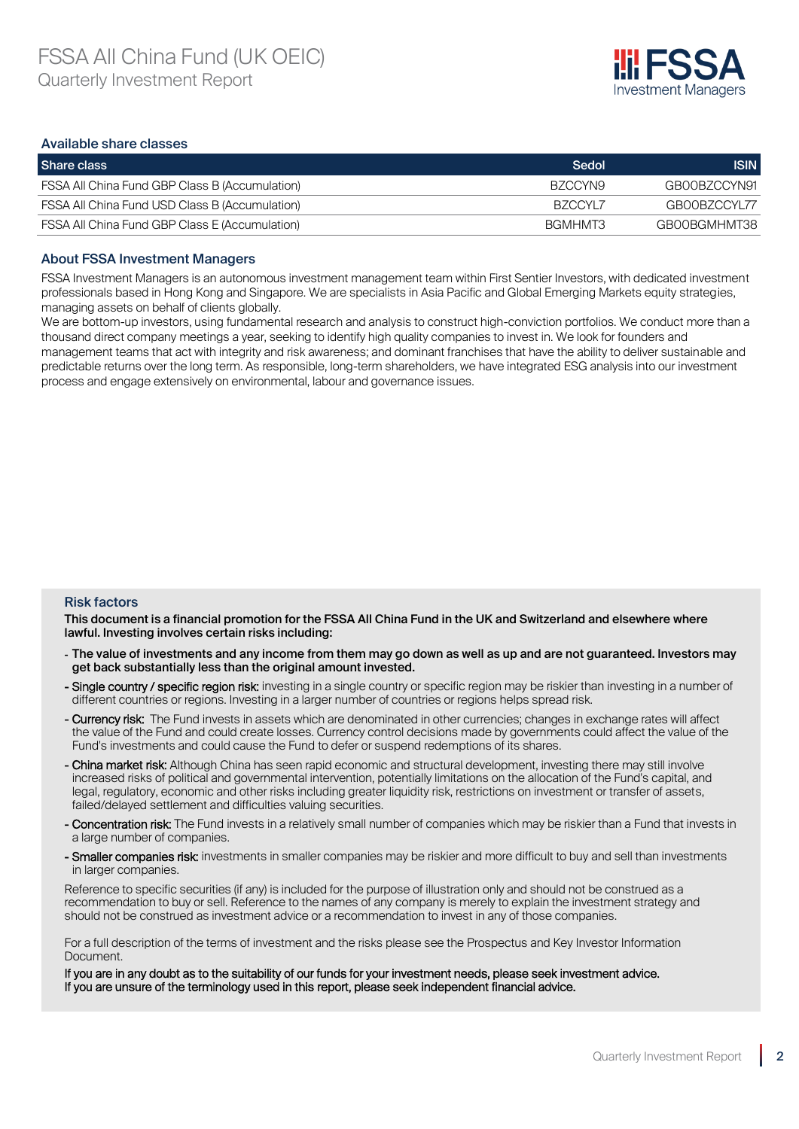

#### Available share classes

| Share class                                    | Sedol   | <b>ISIN</b>  |
|------------------------------------------------|---------|--------------|
| FSSA All China Fund GBP Class B (Accumulation) | BZCCYN9 | GB00BZCCYN91 |
| FSSA All China Fund USD Class B (Accumulation) | BZCCYLZ | GBOOBZCCYLTZ |
| FSSA All China Fund GBP Class E (Accumulation) | BGMHMT3 | GBOOBGMHMT38 |

#### About FSSA Investment Managers

FSSA Investment Managers is an autonomous investment management team within First Sentier Investors, with dedicated investment professionals based in Hong Kong and Singapore. We are specialists in Asia Pacific and Global Emerging Markets equity strategies, managing assets on behalf of clients globally.

We are bottom-up investors, using fundamental research and analysis to construct high-conviction portfolios. We conduct more than a thousand direct company meetings a year, seeking to identify high quality companies to invest in. We look for founders and management teams that act with integrity and risk awareness; and dominant franchises that have the ability to deliver sustainable and predictable returns over the long term. As responsible, long-term shareholders, we have integrated ESG analysis into our investment process and engage extensively on environmental, labour and governance issues.

### Risk factors

This document is a financial promotion for the FSSA All China Fund in the UK and Switzerland and elsewhere where lawful. Investing involves certain risks including:

- The value of investments and any income from them may go down as well as up and are not guaranteed. Investors may get back substantially less than the original amount invested.
- Single country / specific region risk: investing in a single country or specific region may be riskier than investing in a number of different countries or regions. Investing in a larger number of countries or regions helps spread risk.
- Currency risk: The Fund invests in assets which are denominated in other currencies; changes in exchange rates will affect the value of the Fund and could create losses. Currency control decisions made by governments could affect the value of the Fund's investments and could cause the Fund to defer or suspend redemptions of its shares.
- China market risk: Although China has seen rapid economic and structural development, investing there may still involve increased risks of political and governmental intervention, potentially limitations on the allocation of the Fund's capital, and legal, regulatory, economic and other risks including greater liquidity risk, restrictions on investment or transfer of assets, failed/delayed settlement and difficulties valuing securities.
- Concentration risk: The Fund invests in a relatively small number of companies which may be riskier than a Fund that invests in a large number of companies.
- Smaller companies risk: investments in smaller companies may be riskier and more difficult to buy and sell than investments in larger companies.

Reference to specific securities (if any) is included for the purpose of illustration only and should not be construed as a recommendation to buy or sell. Reference to the names of any company is merely to explain the investment strategy and should not be construed as investment advice or a recommendation to invest in any of those companies.

For a full description of the terms of investment and the risks please see the Prospectus and Key Investor Information Document.

If you are in any doubt as to the suitability of our funds for your investment needs, please seek investment advice. If you are unsure of the terminology used in this report, please seek independent financial advice.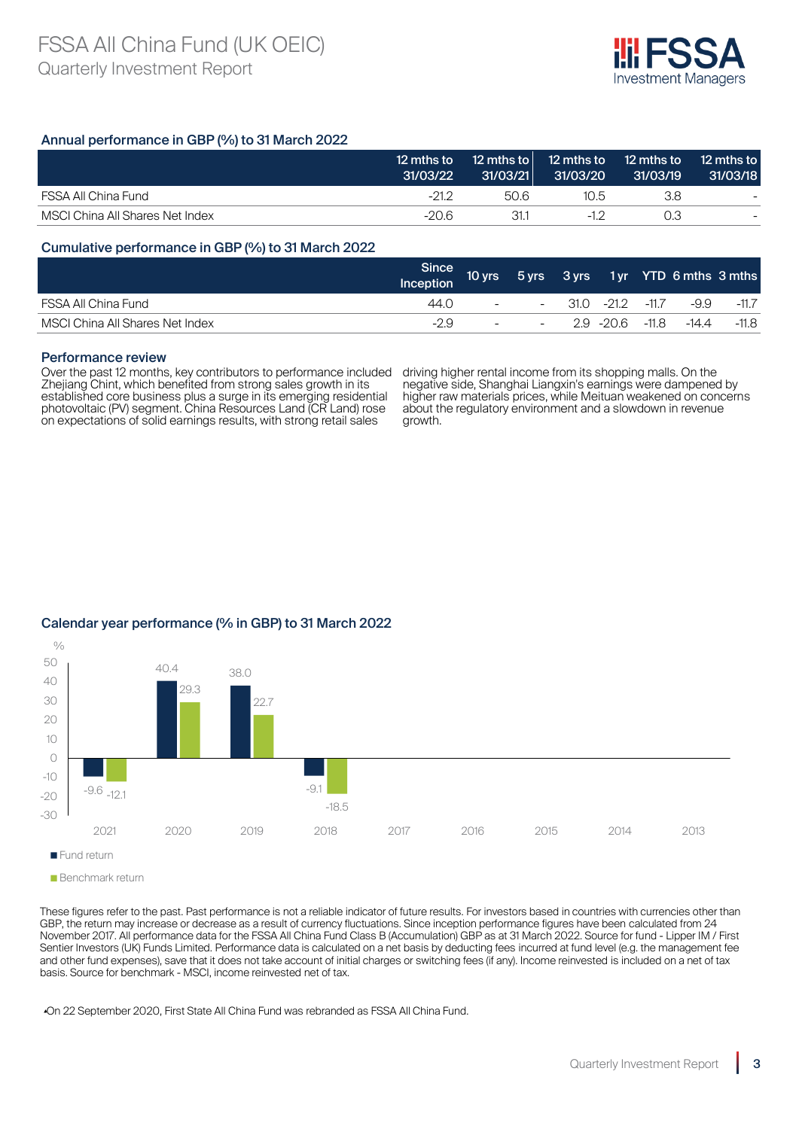

# Annual performance in GBP (%) to 31 March 2022

|                                 | 12 mths to<br>31/03/22 | 12 mths to<br>31/03/21 | 31/03/20 | 12 mths to 12 mths to<br>31/03/19 | 12 mths to<br>31/03/18 |
|---------------------------------|------------------------|------------------------|----------|-----------------------------------|------------------------|
| FSSA All China Fund             | $-21.2$                | 50.6                   | 10.5     | 3.8                               |                        |
| MSCI China All Shares Net Index | -20.6                  | 31.1                   | -17      | 0.3                               |                        |

### Cumulative performance in GBP (%) to 31 March 2022

|                                 | Since /<br>Inception | 10 yrs                     |                                   |                  | 5 yrs 3 yrs 1 yr YTD 6 mths 3 mths |         |
|---------------------------------|----------------------|----------------------------|-----------------------------------|------------------|------------------------------------|---------|
| FSSA All China Fund             | 44.O                 | $\sim$ 100 $\mu$ m $^{-1}$ | $\sim$                            | 31.0 -21.2 -11.7 | -9.9                               | $-11.7$ |
| MSCI China All Shares Net Index | -2.9                 |                            | the company's company's<br>$\sim$ | 2.9 -20.6 -11.8  | -14.4                              | -11.8   |

#### Performance review

Over the past 12 months, key contributors to performance included Zhejiang Chint, which benefited from strong sales growth in its established core business plus a surge in its emerging residential photovoltaic (PV) segment. China Resources Land (CR Land) rose on expectations of solid earnings results, with strong retail sales

driving higher rental income from its shopping malls. On the negative side, Shanghai Liangxin's earnings were dampened by higher raw materials prices, while Meituan weakened on concerns about the regulatory environment and a slowdown in revenue growth.

# Calendar year performance (% in GBP) to 31 March 2022



Benchmark return

These figures refer to the past. Past performance is not a reliable indicator of future results. For investors based in countries with currencies other than GBP, the return may increase or decrease as a result of currency fluctuations. Since inception performance figures have been calculated from 24 November 2017. All performance data for the FSSA All China Fund Class B (Accumulation) GBP as at 31 March 2022. Source for fund - Lipper IM / First Sentier Investors (UK) Funds Limited. Performance data is calculated on a net basis by deducting fees incurred at fund level (e.g. the management fee and other fund expenses), save that it does not take account of initial charges or switching fees (if any). Income reinvested is included on a net of tax basis. Source for benchmark - MSCI, income reinvested net of tax.

▴On 22 September 2020, First State All China Fund was rebranded as FSSA All China Fund.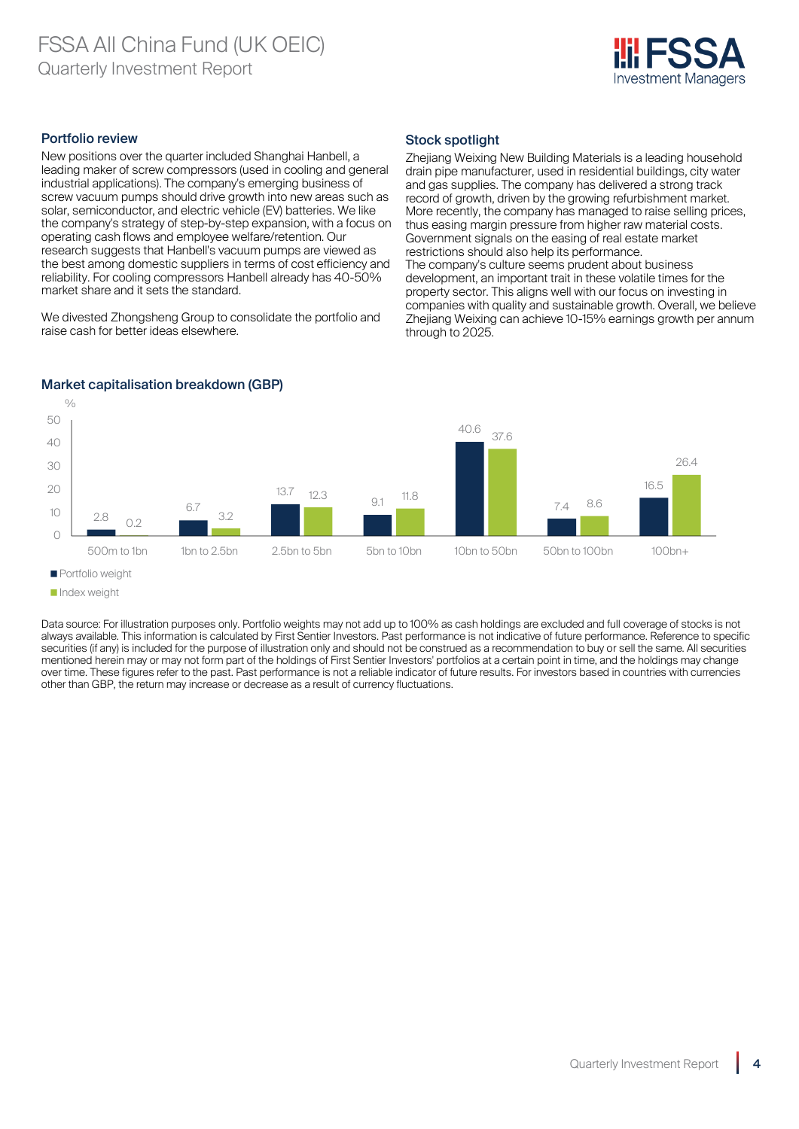

# Portfolio review

New positions over the quarter included Shanghai Hanbell, a leading maker of screw compressors (used in cooling and general industrial applications). The company's emerging business of screw vacuum pumps should drive growth into new areas such as solar, semiconductor, and electric vehicle (EV) batteries. We like the company's strategy of step-by-step expansion, with a focus on operating cash flows and employee welfare/retention. Our research suggests that Hanbell's vacuum pumps are viewed as the best among domestic suppliers in terms of cost efficiency and reliability. For cooling compressors Hanbell already has 40-50% market share and it sets the standard.

We divested Zhongsheng Group to consolidate the portfolio and raise cash for better ideas elsewhere.

# Stock spotlight

Zheijang Weixing New Building Materials is a leading household drain pipe manufacturer, used in residential buildings, city water and gas supplies. The company has delivered a strong track record of growth, driven by the growing refurbishment market. More recently, the company has managed to raise selling prices, thus easing margin pressure from higher raw material costs. Government signals on the easing of real estate market restrictions should also help its performance. The company's culture seems prudent about business development, an important trait in these volatile times for the property sector. This aligns well with our focus on investing in companies with quality and sustainable growth. Overall, we believe Zheijang Weixing can achieve 10-15% earnings growth per annum through to 2025.



# Market capitalisation breakdown (GBP)

 $0/$ 

Data source: For illustration purposes only. Portfolio weights may not add up to 100% as cash holdings are excluded and full coverage of stocks is not always available. This information is calculated by First Sentier Investors. Past performance is not indicative of future performance. Reference to specific securities (if any) is included for the purpose of illustration only and should not be construed as a recommendation to buy or sell the same. All securities mentioned herein may or may not form part of the holdings of First Sentier Investors' portfolios at a certain point in time, and the holdings may change over time. These figures refer to the past. Past performance is not a reliable indicator of future results. For investors based in countries with currencies other than GBP, the return may increase or decrease as a result of currency fluctuations.

**Portfolio weight** 

**Index weight**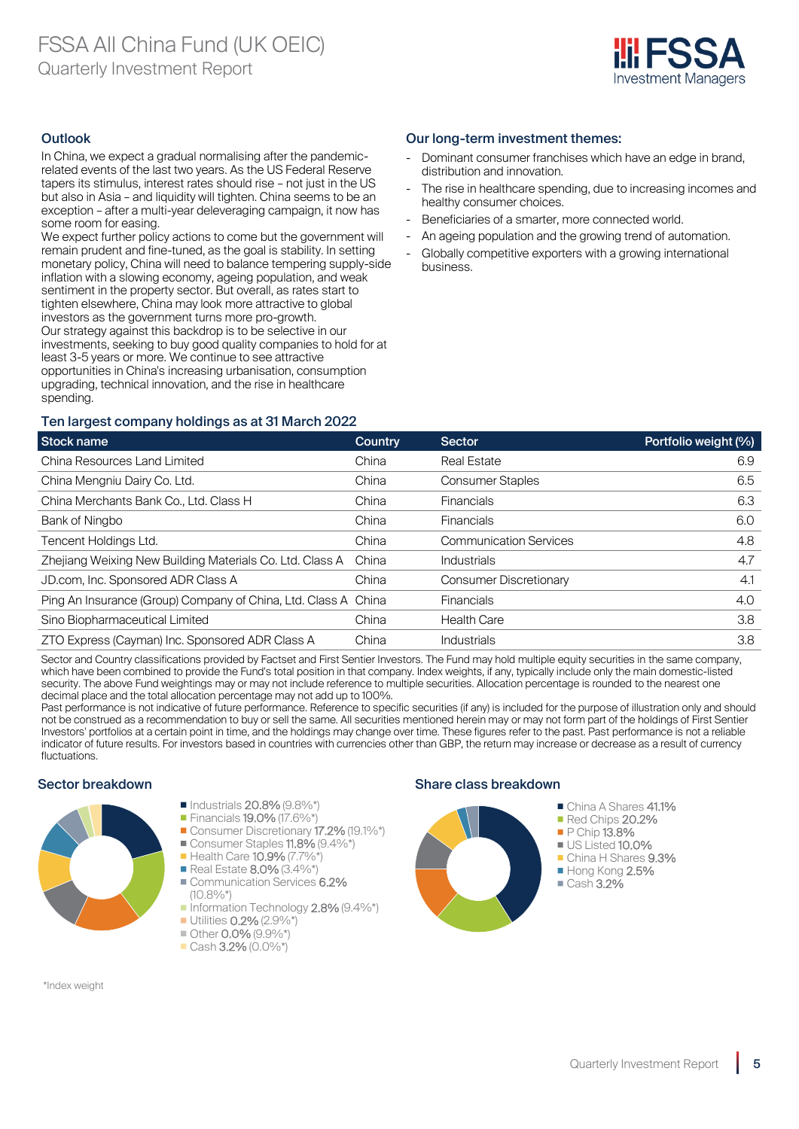

# **Outlook**

In China, we expect a gradual normalising after the pandemicrelated events of the last two years. As the US Federal Reserve tapers its stimulus, interest rates should rise – not just in the US but also in Asia – and liquidity will tighten. China seems to be an exception – after a multi-year deleveraging campaign, it now has some room for easing.

We expect further policy actions to come but the government will remain prudent and fine-tuned, as the goal is stability. In setting monetary policy, China will need to balance tempering supply-side inflation with a slowing economy, ageing population, and weak sentiment in the property sector. But overall, as rates start to tighten elsewhere, China may look more attractive to global investors as the government turns more pro-growth. Our strategy against this backdrop is to be selective in our investments, seeking to buy good quality companies to hold for at least 3-5 years or more. We continue to see attractive opportunities in China's increasing urbanisation, consumption upgrading, technical innovation, and the rise in healthcare spending.

# Our long-term investment themes:

- Dominant consumer franchises which have an edge in brand. distribution and innovation.
- The rise in healthcare spending, due to increasing incomes and healthy consumer choices.
- Beneficiaries of a smarter, more connected world.
- An ageing population and the growing trend of automation.
- Globally competitive exporters with a growing international business.

# Ten largest company holdings as at 31 March 2022

| <b>Stock name</b>                                              | Country | <b>Sector</b>                 | Portfolio weight (%) |
|----------------------------------------------------------------|---------|-------------------------------|----------------------|
| China Resources Land Limited                                   | China   | <b>Real Estate</b>            | 6.9                  |
| China Mengniu Dairy Co. Ltd.                                   | China   | <b>Consumer Staples</b>       | 6.5                  |
| China Merchants Bank Co., Ltd. Class H                         | China   | <b>Financials</b>             | 6.3                  |
| Bank of Ningbo                                                 | China   | <b>Financials</b>             | 6.0                  |
| Tencent Holdings Ltd.                                          | China   | <b>Communication Services</b> | 4.8                  |
| Zhejiang Weixing New Building Materials Co. Ltd. Class A       | China   | Industrials                   | 4.7                  |
| JD.com, Inc. Sponsored ADR Class A                             | China   | <b>Consumer Discretionary</b> | 4.1                  |
| Ping An Insurance (Group) Company of China, Ltd. Class A China |         | <b>Financials</b>             | 4.0                  |
| Sino Biopharmaceutical Limited                                 | China   | <b>Health Care</b>            | 3.8                  |
| ZTO Express (Cayman) Inc. Sponsored ADR Class A                | China   | <b>Industrials</b>            | 3.8                  |

Sector and Country classifications provided by Factset and First Sentier Investors. The Fund may hold multiple equity securities in the same company, which have been combined to provide the Fund's total position in that company. Index weights, if any, typically include only the main domestic-listed security. The above Fund weightings may or may not include reference to multiple securities. Allocation percentage is rounded to the nearest one decimal place and the total allocation percentage may not add up to 100%.

Past performance is not indicative of future performance. Reference to specific securities (if any) is included for the purpose of illustration only and should not be construed as a recommendation to buy or sell the same. All securities mentioned herein may or may not form part of the holdings of First Sentier Investors' portfolios at a certain point in time, and the holdings may change over time. These figures refer to the past. Past performance is not a reliable indicator of future results. For investors based in countries with currencies other than GBP, the return may increase or decrease as a result of currency fluctuations.

### Sector breakdown Share class breakdown Share class breakdown



- Industrials 20.8% (9.8%\*) **Financials 19.0% (17.6%\***)
- Consumer Discretionary 17.2% (19.1%\*)
- Consumer Staples 11.8% (9.4%\*)
- Health Care 10.9% (7.7%\*) Real Estate 8.0% (3.4%\*)
- Communication Services 6.2%
- $(10.8\%^{*})$ Information Technology 2.8% (9.4%\*)
- Utilities **0.2%** (2.9%\*)
- $\blacksquare$  Other 0.0% (9.9%\*)
- Cash 3.2% (0.0%\*)

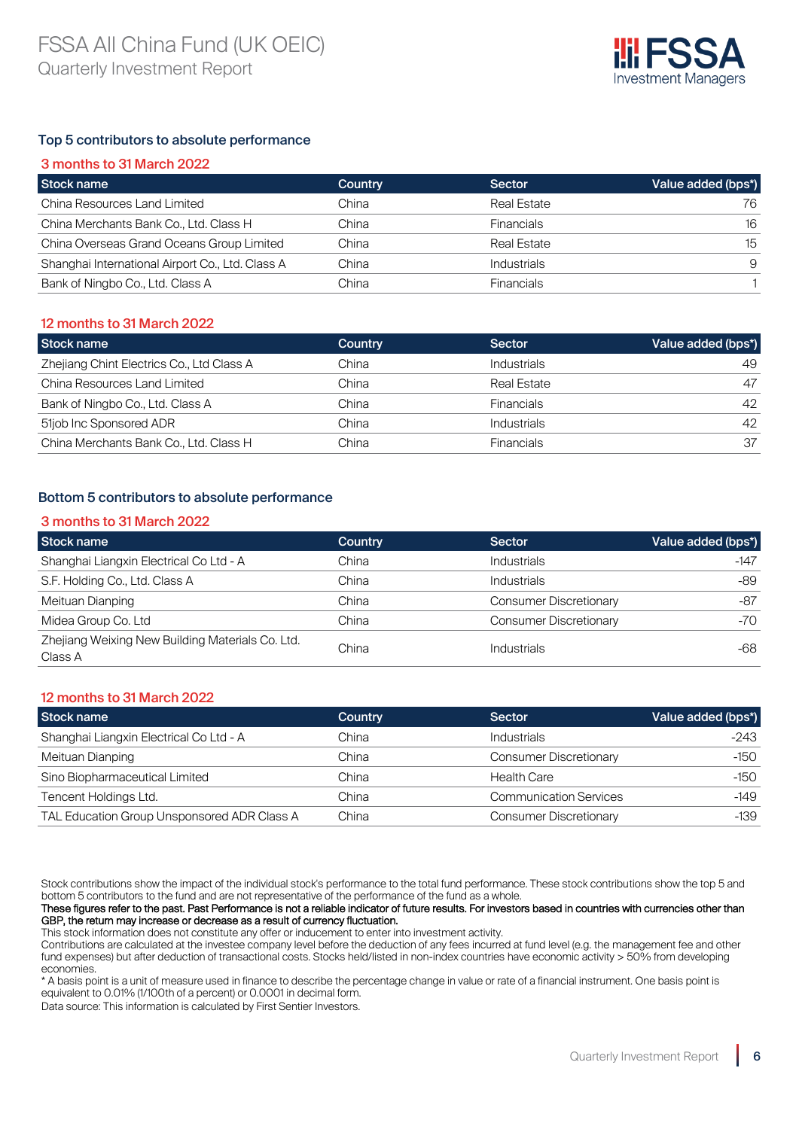

# Top 5 contributors to absolute performance

| 3 months to 31 March 2022                        |         |                   |                    |
|--------------------------------------------------|---------|-------------------|--------------------|
| Stock name                                       | Country | Sector            | Value added (bps*) |
| China Resources Land Limited                     | China   | Real Estate       | 76                 |
| China Merchants Bank Co., Ltd. Class H           | China   | <b>Financials</b> | 16                 |
| China Overseas Grand Oceans Group Limited        | China   | Real Estate       | 15                 |
| Shanghai International Airport Co., Ltd. Class A | China   | Industrials       | 9                  |
| Bank of Ningbo Co., Ltd. Class A                 | China   | <b>Financials</b> |                    |

### 12 months to 31 March 2022

| Stock name                                | Country | Sector             | Value added (bps*) |
|-------------------------------------------|---------|--------------------|--------------------|
| Zhejiang Chint Electrics Co., Ltd Class A | China   | <b>Industrials</b> | 49                 |
| China Resources Land Limited              | China   | Real Estate        | 47                 |
| Bank of Ningbo Co., Ltd. Class A          | China   | <b>Financials</b>  | 42                 |
| 51job Inc Sponsored ADR                   | China   | <b>Industrials</b> | 42                 |
| China Merchants Bank Co., Ltd. Class H    | China   | <b>Financials</b>  | 37                 |

# Bottom 5 contributors to absolute performance

### 3 months to 31 March 2022

| Stock name                                                  | <b>Country</b> | Sector                        | Value added (bps*) |
|-------------------------------------------------------------|----------------|-------------------------------|--------------------|
| Shanghai Liangxin Electrical Co Ltd - A                     | China          | Industrials                   | $-147$             |
| S.F. Holding Co., Ltd. Class A                              | China          | <b>Industrials</b>            | -89                |
| Meituan Dianping                                            | China          | <b>Consumer Discretionary</b> | -87                |
| Midea Group Co. Ltd                                         | China          | <b>Consumer Discretionary</b> | -70                |
| Zheijang Weixing New Building Materials Co. Ltd.<br>Class A | China          | Industrials                   | -68                |

# 12 months to 31 March 2022

| <b>Stock name</b>                           | Country | <b>Sector</b>                 | Value added (bps*) |
|---------------------------------------------|---------|-------------------------------|--------------------|
| Shanghai Liangxin Electrical Co Ltd - A     | China   | Industrials                   | -243               |
| Meituan Dianping                            | China   | <b>Consumer Discretionary</b> | -150               |
| Sino Biopharmaceutical Limited              | China   | <b>Health Care</b>            | -150               |
| Tencent Holdings Ltd.                       | China   | <b>Communication Services</b> | $-149$             |
| TAL Education Group Unsponsored ADR Class A | China   | <b>Consumer Discretionary</b> | $-139$             |

Stock contributions show the impact of the individual stock's performance to the total fund performance. These stock contributions show the top 5 and bottom 5 contributors to the fund and are not representative of the performance of the fund as a whole.

These figures refer to the past. Past Performance is not a reliable indicator of future results. For investors based in countries with currencies other than GBP, the return may increase or decrease as a result of currency fluctuation.

This stock information does not constitute any offer or inducement to enter into investment activity. Contributions are calculated at the investee company level before the deduction of any fees incurred at fund level (e.g. the management fee and other fund expenses) but after deduction of transactional costs. Stocks held/listed in non-index countries have economic activity > 50% from developing economies.

\* A basis point is a unit of measure used in finance to describe the percentage change in value or rate of a financial instrument. One basis point is equivalent to 0.01% (1/100th of a percent) or 0.0001 in decimal form.

Data source: This information is calculated by First Sentier Investors.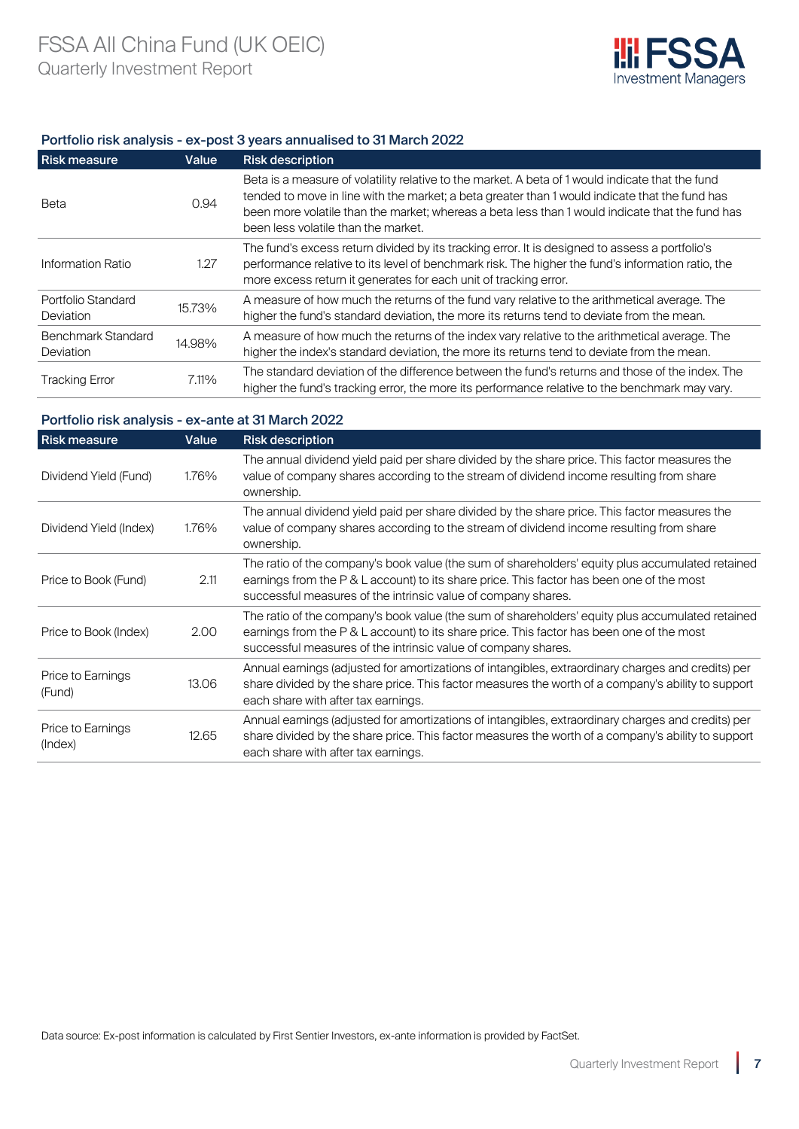

# Portfolio risk analysis - ex-post 3 years annualised to 31 March 2022

| <b>Risk measure</b>                    | Value  | <b>Risk description</b>                                                                                                                                                                                                                                                                                                                      |
|----------------------------------------|--------|----------------------------------------------------------------------------------------------------------------------------------------------------------------------------------------------------------------------------------------------------------------------------------------------------------------------------------------------|
| Beta                                   | 0.94   | Beta is a measure of volatility relative to the market. A beta of 1 would indicate that the fund<br>tended to move in line with the market; a beta greater than 1 would indicate that the fund has<br>been more volatile than the market; whereas a beta less than 1 would indicate that the fund has<br>been less volatile than the market. |
| Information Ratio                      | 1.27   | The fund's excess return divided by its tracking error. It is designed to assess a portfolio's<br>performance relative to its level of benchmark risk. The higher the fund's information ratio, the<br>more excess return it generates for each unit of tracking error.                                                                      |
| Portfolio Standard<br>Deviation        | 15.73% | A measure of how much the returns of the fund vary relative to the arithmetical average. The<br>higher the fund's standard deviation, the more its returns tend to deviate from the mean.                                                                                                                                                    |
| <b>Benchmark Standard</b><br>Deviation | 14.98% | A measure of how much the returns of the index vary relative to the arithmetical average. The<br>higher the index's standard deviation, the more its returns tend to deviate from the mean.                                                                                                                                                  |
| <b>Tracking Error</b>                  | 7.11%  | The standard deviation of the difference between the fund's returns and those of the index. The<br>higher the fund's tracking error, the more its performance relative to the benchmark may vary.                                                                                                                                            |

# Portfolio risk analysis - ex-ante at 31 March 2022

| <b>Risk measure</b>          | Value | <b>Risk description</b>                                                                                                                                                                                                                                        |
|------------------------------|-------|----------------------------------------------------------------------------------------------------------------------------------------------------------------------------------------------------------------------------------------------------------------|
| Dividend Yield (Fund)        | 1.76% | The annual dividend yield paid per share divided by the share price. This factor measures the<br>value of company shares according to the stream of dividend income resulting from share<br>ownership.                                                         |
| Dividend Yield (Index)       | 1.76% | The annual dividend yield paid per share divided by the share price. This factor measures the<br>value of company shares according to the stream of dividend income resulting from share<br>ownership.                                                         |
| Price to Book (Fund)         | 2.11  | The ratio of the company's book value (the sum of shareholders' equity plus accumulated retained<br>earnings from the P & L account) to its share price. This factor has been one of the most<br>successful measures of the intrinsic value of company shares. |
| Price to Book (Index)        | 2.00  | The ratio of the company's book value (the sum of shareholders' equity plus accumulated retained<br>earnings from the P & L account) to its share price. This factor has been one of the most<br>successful measures of the intrinsic value of company shares. |
| Price to Earnings<br>(Fund)  | 13.06 | Annual earnings (adjusted for amortizations of intangibles, extraordinary charges and credits) per<br>share divided by the share price. This factor measures the worth of a company's ability to support<br>each share with after tax earnings.                |
| Price to Earnings<br>(Index) | 12.65 | Annual earnings (adjusted for amortizations of intangibles, extraordinary charges and credits) per<br>share divided by the share price. This factor measures the worth of a company's ability to support<br>each share with after tax earnings.                |

Data source: Ex-post information is calculated by First Sentier Investors, ex-ante information is provided by FactSet.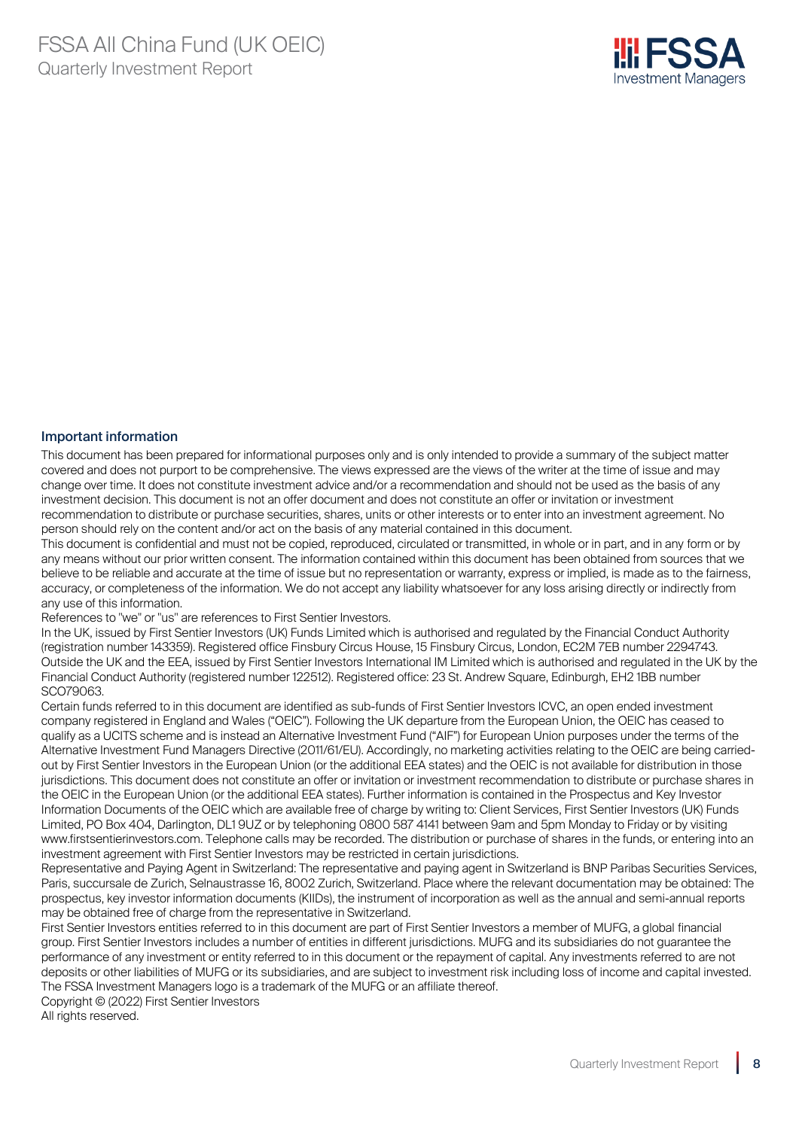

### Important information

This document has been prepared for informational purposes only and is only intended to provide a summary of the subject matter covered and does not purport to be comprehensive. The views expressed are the views of the writer at the time of issue and may change over time. It does not constitute investment advice and/or a recommendation and should not be used as the basis of any investment decision. This document is not an offer document and does not constitute an offer or invitation or investment recommendation to distribute or purchase securities, shares, units or other interests or to enter into an investment agreement. No person should rely on the content and/or act on the basis of any material contained in this document.

This document is confidential and must not be copied, reproduced, circulated or transmitted, in whole or in part, and in any form or by any means without our prior written consent. The information contained within this document has been obtained from sources that we believe to be reliable and accurate at the time of issue but no representation or warranty, express or implied, is made as to the fairness, accuracy, or completeness of the information. We do not accept any liability whatsoever for any loss arising directly or indirectly from any use of this information.

References to "we" or "us" are references to First Sentier Investors.

In the UK, issued by First Sentier Investors (UK) Funds Limited which is authorised and regulated by the Financial Conduct Authority (registration number 143359). Registered office Finsbury Circus House, 15 Finsbury Circus, London, EC2M 7EB number 2294743. Outside the UK and the EEA, issued by First Sentier Investors International IM Limited which is authorised and regulated in the UK by the Financial Conduct Authority (registered number 122512). Registered office: 23 St. Andrew Square, Edinburgh, EH2 1BB number SCO79063.

Certain funds referred to in this document are identified as sub-funds of First Sentier Investors ICVC, an open ended investment company registered in England and Wales ("OEIC"). Following the UK departure from the European Union, the OEIC has ceased to qualify as a UCITS scheme and is instead an Alternative Investment Fund ("AIF") for European Union purposes under the terms of the Alternative Investment Fund Managers Directive (2011/61/EU). Accordingly, no marketing activities relating to the OEIC are being carriedout by First Sentier Investors in the European Union (or the additional EEA states) and the OEIC is not available for distribution in those jurisdictions. This document does not constitute an offer or invitation or investment recommendation to distribute or purchase shares in the OEIC in the European Union (or the additional EEA states). Further information is contained in the Prospectus and Key Investor Information Documents of the OEIC which are available free of charge by writing to: Client Services, First Sentier Investors (UK) Funds Limited, PO Box 404, Darlington, DL1 9UZ or by telephoning 0800 587 4141 between 9am and 5pm Monday to Friday or by visiting www.firstsentierinvestors.com. Telephone calls may be recorded. The distribution or purchase of shares in the funds, or entering into an investment agreement with First Sentier Investors may be restricted in certain jurisdictions.

Representative and Paying Agent in Switzerland: The representative and paying agent in Switzerland is BNP Paribas Securities Services, Paris, succursale de Zurich, Selnaustrasse 16, 8002 Zurich, Switzerland. Place where the relevant documentation may be obtained: The prospectus, key investor information documents (KIIDs), the instrument of incorporation as well as the annual and semi-annual reports may be obtained free of charge from the representative in Switzerland.

First Sentier Investors entities referred to in this document are part of First Sentier Investors a member of MUFG, a global financial group. First Sentier Investors includes a number of entities in different jurisdictions. MUFG and its subsidiaries do not guarantee the performance of any investment or entity referred to in this document or the repayment of capital. Any investments referred to are not deposits or other liabilities of MUFG or its subsidiaries, and are subject to investment risk including loss of income and capital invested. The FSSA Investment Managers logo is a trademark of the MUFG or an affiliate thereof.

Copyright © (2022) First Sentier Investors All rights reserved.